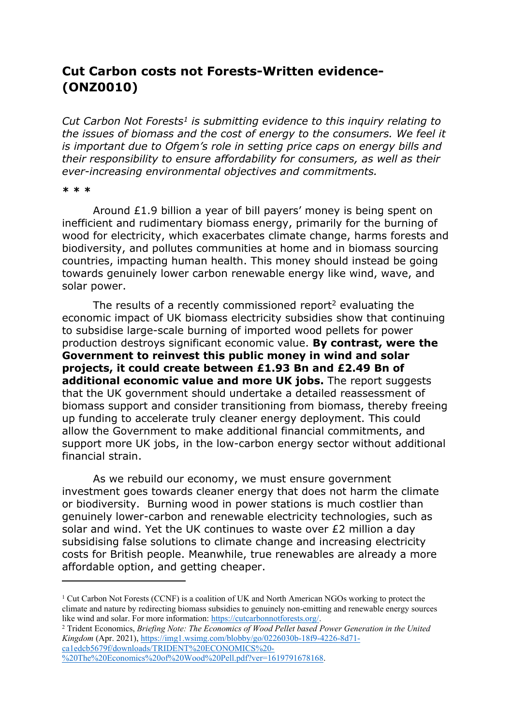## **Cut Carbon costs not Forests-Written evidence- (ONZ0010)**

*Cut Carbon Not Forests<sup>1</sup> is submitting evidence to this inquiry relating to the issues of biomass and the cost of energy to the consumers. We feel it is important due to Ofgem's role in setting price caps on energy bills and their responsibility to ensure affordability for consumers, as well as their ever-increasing environmental objectives and commitments.*

## **\* \* \***

Around £1.9 billion a year of bill payers' money is being spent on inefficient and rudimentary biomass energy, primarily for the burning of wood for electricity, which exacerbates climate change, harms forests and biodiversity, and pollutes communities at home and in biomass sourcing countries, impacting human health. This money should instead be going towards genuinely lower carbon renewable energy like wind, wave, and solar power.

The results of a recently commissioned report<sup>2</sup> evaluating the economic impact of UK biomass electricity subsidies show that continuing to subsidise large-scale burning of imported wood pellets for power production destroys significant economic value. **By contrast, were the Government to reinvest this public money in wind and solar projects, it could create between £1.93 Bn and £2.49 Bn of additional economic value and more UK jobs.** The report suggests that the UK government should undertake a detailed reassessment of biomass support and consider transitioning from biomass, thereby freeing up funding to accelerate truly cleaner energy deployment. This could allow the Government to make additional financial commitments, and support more UK jobs, in the low-carbon energy sector without additional financial strain.

As we rebuild our economy, we must ensure government investment goes towards cleaner energy that does not harm the climate or biodiversity. Burning wood in power stations is much costlier than genuinely lower-carbon and renewable electricity technologies, such as solar and wind. Yet the UK continues to waste over £2 million a day subsidising false solutions to climate change and increasing electricity costs for British people. Meanwhile, true renewables are already a more affordable option, and getting cheaper.

<sup>2</sup> Trident Economics, *Briefing Note: The Economics of Wood Pellet based Power Generation in the United Kingdom* (Apr. 2021), [https://img1.wsimg.com/blobby/go/0226030b-18f9-4226-8d71](https://img1.wsimg.com/blobby/go/0226030b-18f9-4226-8d71-ca1edcb5679f/downloads/TRIDENT%20ECONOMICS%20-%20The%20Economics%20of%20Wood%20Pell.pdf?ver=1619791678168) [ca1edcb5679f/downloads/TRIDENT%20ECONOMICS%20-](https://img1.wsimg.com/blobby/go/0226030b-18f9-4226-8d71-ca1edcb5679f/downloads/TRIDENT%20ECONOMICS%20-%20The%20Economics%20of%20Wood%20Pell.pdf?ver=1619791678168) [%20The%20Economics%20of%20Wood%20Pell.pdf?ver=1619791678168.](https://img1.wsimg.com/blobby/go/0226030b-18f9-4226-8d71-ca1edcb5679f/downloads/TRIDENT%20ECONOMICS%20-%20The%20Economics%20of%20Wood%20Pell.pdf?ver=1619791678168)

<sup>&</sup>lt;sup>1</sup> Cut Carbon Not Forests (CCNF) is a coalition of UK and North American NGOs working to protect the climate and nature by redirecting biomass subsidies to genuinely non-emitting and renewable energy sources like wind and solar. For more information: [https://cutcarbonnotforests.org/.](https://cutcarbonnotforests.org/)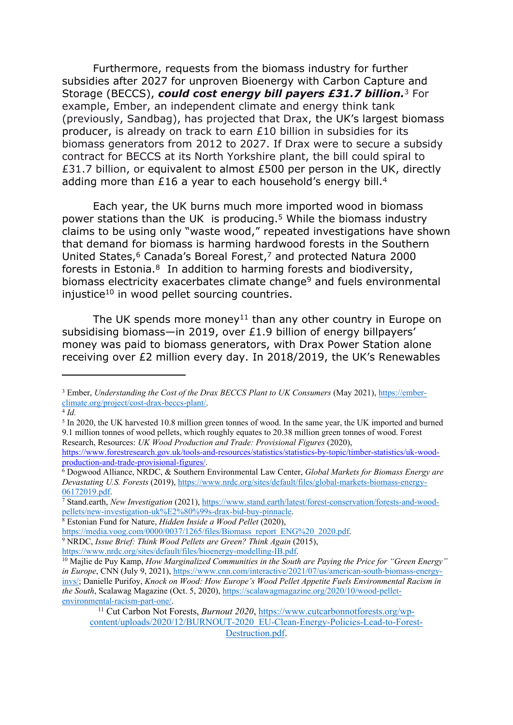Furthermore, requests from the biomass industry for further subsidies after 2027 for unproven Bioenergy with Carbon Capture and Storage (BECCS), *could cost energy bill payers £31.7 billion.*<sup>3</sup> For example, Ember, an independent climate and energy think tank (previously, Sandbag), has projected that Drax, the UK's largest biomass producer, is already on track to earn £10 billion in subsidies for its biomass generators from 2012 to 2027. If Drax were to secure a subsidy contract for BECCS at its North Yorkshire plant, the bill could spiral to £31.7 billion, or equivalent to almost £500 per person in the UK, directly adding more than £16 a year to each household's energy bill.<sup>4</sup>

Each year, the UK burns much more imported wood in biomass power stations than the UK is producing.<sup>5</sup> While the biomass industry claims to be using only "waste wood," repeated investigations have shown that demand for biomass is harming hardwood forests in the Southern United States,<sup>6</sup> Canada's Boreal Forest,<sup>7</sup> and protected Natura 2000 forests in Estonia.<sup>8</sup> In addition to harming forests and biodiversity, biomass electricity exacerbates climate change<sup>9</sup> and fuels environmental injustice<sup>10</sup> in wood pellet sourcing countries.

The UK spends more money<sup>11</sup> than any other country in Europe on subsidising biomass—in 2019, over £1.9 billion of energy billpayers' money was paid to biomass generators, with Drax Power Station alone receiving over £2 million every day. In 2018/2019, the UK's Renewables

<sup>7</sup> Stand.earth, *New Investigation* (2021), [https://www.stand.earth/latest/forest-conservation/forests-and-wood](https://www.stand.earth/latest/forest-conservation/forests-and-wood-pellets/new-investigation-uk%E2%80%99s-drax-bid-buy-pinnacle)[pellets/new-investigation-uk%E2%80%99s-drax-bid-buy-pinnacle.](https://www.stand.earth/latest/forest-conservation/forests-and-wood-pellets/new-investigation-uk%E2%80%99s-drax-bid-buy-pinnacle)

<https://www.nrdc.org/sites/default/files/bioenergy-modelling-IB.pdf>.

<sup>3</sup> Ember, *Understanding the Cost of the Drax BECCS Plant to UK Consumers* (May 2021), [https://ember](https://ember-climate.org/project/cost-drax-beccs-plant/)[climate.org/project/cost-drax-beccs-plant/](https://ember-climate.org/project/cost-drax-beccs-plant/).

<sup>4</sup> *Id.*

<sup>&</sup>lt;sup>5</sup> In 2020, the UK harvested 10.8 million green tonnes of wood. In the same year, the UK imported and burned 9.1 million tonnes of wood pellets, which roughly equates to 20.38 million green tonnes of wood. Forest Research, Resources: *UK Wood Production and Trade: Provisional Figures* (2020),

[https://www.forestresearch.gov.uk/tools-and-resources/statistics/statistics-by-topic/timber-statistics/uk-wood](https://www.forestresearch.gov.uk/tools-and-resources/statistics/statistics-by-topic/timber-statistics/uk-wood-production-and-trade-provisional-figures/)[production-and-trade-provisional-figures/.](https://www.forestresearch.gov.uk/tools-and-resources/statistics/statistics-by-topic/timber-statistics/uk-wood-production-and-trade-provisional-figures/)

<sup>6</sup> Dogwood Alliance, NRDC, & Southern Environmental Law Center, *Global Markets for Biomass Energy are Devastating U.S. Forests* (2019), [https://www.nrdc.org/sites/default/files/global-markets-biomass-energy-](https://www.nrdc.org/sites/default/files/global-markets-biomass-energy-06172019.pdf)[06172019.pdf.](https://www.nrdc.org/sites/default/files/global-markets-biomass-energy-06172019.pdf)

<sup>8</sup> Estonian Fund for Nature, *Hidden Inside a Wood Pellet* (2020),

[https://media.voog.com/0000/0037/1265/files/Biomass\\_report\\_ENG%20\\_2020.pdf.](https://media.voog.com/0000/0037/1265/files/Biomass_report_ENG%20_2020.pdf)

<sup>9</sup> NRDC, *Issue Brief: Think Wood Pellets are Green? Think Again* (2015),

<sup>10</sup> Majlie de Puy Kamp, *How Marginalized Communities in the South are Paying the Price for "Green Energy" in Europe*, CNN (July 9, 2021), [https://www.cnn.com/interactive/2021/07/us/american-south-biomass-energy](https://www.cnn.com/interactive/2021/07/us/american-south-biomass-energy-invs/)[invs/](https://www.cnn.com/interactive/2021/07/us/american-south-biomass-energy-invs/); Danielle Purifoy, *Knock on Wood: How Europe's Wood Pellet Appetite Fuels Environmental Racism in the South*, Scalawag Magazine (Oct. 5, 2020), [https://scalawagmagazine.org/2020/10/wood-pellet](https://scalawagmagazine.org/2020/10/wood-pellet-environmental-racism-part-one/)[environmental-racism-part-one/](https://scalawagmagazine.org/2020/10/wood-pellet-environmental-racism-part-one/).

<sup>11</sup> Cut Carbon Not Forests, *Burnout 2020*, [https://www.cutcarbonnotforests.org/wp](https://www.cutcarbonnotforests.org/wp-content/uploads/2020/12/BURNOUT-2020_EU-Clean-Energy-Policies-Lead-to-Forest-Destruction.pdf)[content/uploads/2020/12/BURNOUT-2020\\_EU-Clean-Energy-Policies-Lead-to-Forest-](https://www.cutcarbonnotforests.org/wp-content/uploads/2020/12/BURNOUT-2020_EU-Clean-Energy-Policies-Lead-to-Forest-Destruction.pdf)[Destruction.pdf.](https://www.cutcarbonnotforests.org/wp-content/uploads/2020/12/BURNOUT-2020_EU-Clean-Energy-Policies-Lead-to-Forest-Destruction.pdf)